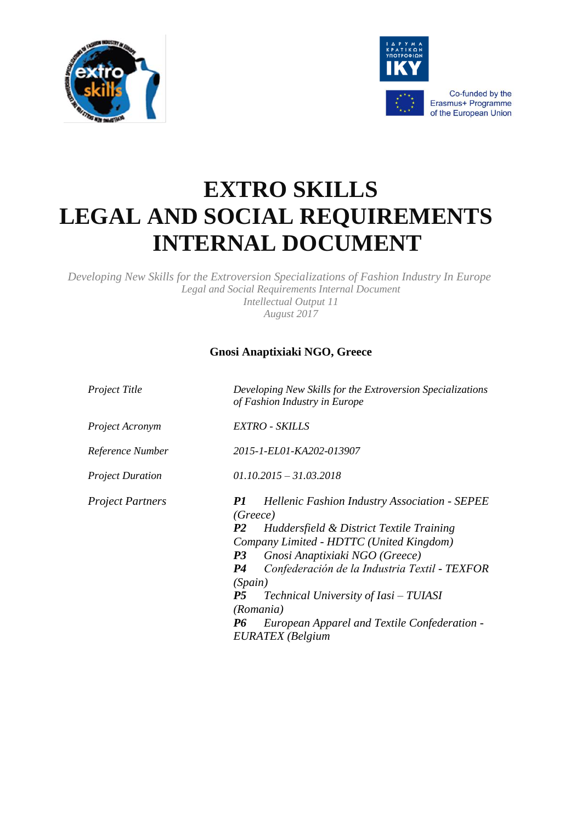



Co-funded by the Erasmus+ Programme of the European Union

# **EXTRO SKILLS LEGAL AND SOCIAL REQUIREMENTS INTERNAL DOCUMENT**

*Developing New Skills for the Extroversion Specializations of Fashion Industry In Europe Legal and Social Requirements Internal Document Intellectual Output 11 August 2017*

# **Gnosi Anaptixiaki NGO, Greece**

| Project Title           | Developing New Skills for the Extroversion Specializations<br>of Fashion Industry in Europe                                                                                                                                                                                                                                                                                                                                                    |  |
|-------------------------|------------------------------------------------------------------------------------------------------------------------------------------------------------------------------------------------------------------------------------------------------------------------------------------------------------------------------------------------------------------------------------------------------------------------------------------------|--|
| Project Acronym         | EXTRO - SKILLS                                                                                                                                                                                                                                                                                                                                                                                                                                 |  |
| Reference Number        | 2015-1-EL01-KA202-013907                                                                                                                                                                                                                                                                                                                                                                                                                       |  |
| <b>Project Duration</b> | $01.10.2015 - 31.03.2018$                                                                                                                                                                                                                                                                                                                                                                                                                      |  |
| <b>Project Partners</b> | <b>Hellenic Fashion Industry Association - SEPEE</b><br>P1<br>(Greece)<br>Huddersfield & District Textile Training<br><i>P2</i><br>Company Limited - HDTTC (United Kingdom)<br>Gnosi Anaptixiaki NGO (Greece)<br>P <sub>3</sub><br>Confederación de la Industria Textil - TEXFOR<br>P4<br>(Spain)<br>Technical University of Iasi – TUIASI<br><i>P5</i><br>(Romania)<br>European Apparel and Textile Confederation -<br>P6<br>EURATEX (Belgium |  |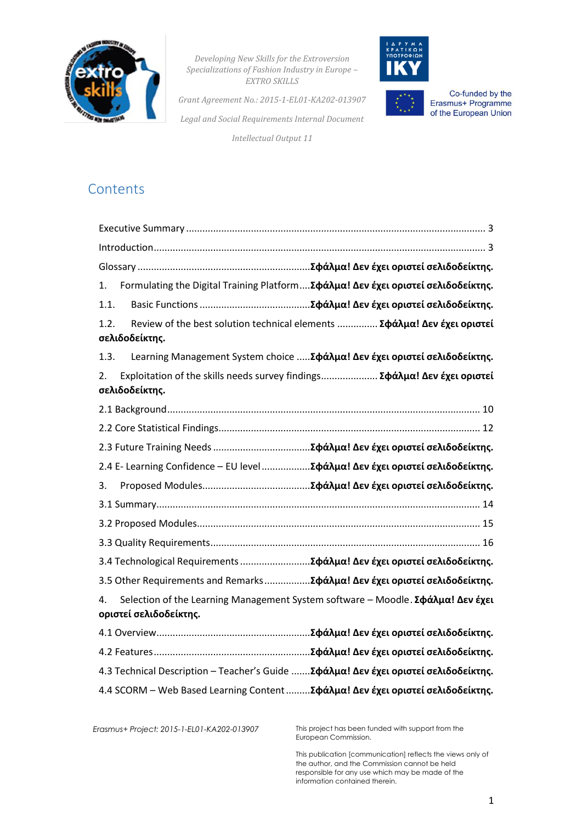



Co-funded by the<br>Erasmus+ Programme of the European Union

*Grant Agreement No.: 2015-1-EL01-KA202-013907 Legal and Social Requirements Internal Document*

*Intellectual Output 11*

# **Contents**

| 1.                                                                                                | Formulating the Digital Training Platform Σφάλμα! Δεν έχει οριστεί σελιδοδείκτης.                         |  |
|---------------------------------------------------------------------------------------------------|-----------------------------------------------------------------------------------------------------------|--|
| 1.1.                                                                                              |                                                                                                           |  |
| 1.2.                                                                                              | Review of the best solution technical elements  Σφάλμα! Δεν έχει οριστεί<br>σελιδοδείκτης.                |  |
| 1.3.                                                                                              | Learning Management System choice  Σφάλμα! Δεν έχει οριστεί σελιδοδείκτης.                                |  |
| Exploitation of the skills needs survey findings Σφάλμα! Δεν έχει οριστεί<br>2.<br>σελιδοδείκτης. |                                                                                                           |  |
|                                                                                                   |                                                                                                           |  |
|                                                                                                   |                                                                                                           |  |
|                                                                                                   |                                                                                                           |  |
|                                                                                                   | 2.4 E- Learning Confidence - EU level  Σφάλμα! Δεν έχει οριστεί σελιδοδείκτης.                            |  |
| 3.                                                                                                |                                                                                                           |  |
|                                                                                                   |                                                                                                           |  |
|                                                                                                   |                                                                                                           |  |
|                                                                                                   |                                                                                                           |  |
|                                                                                                   | 3.4 Technological Requirements Σφάλμα! Δεν έχει οριστεί σελιδοδείκτης.                                    |  |
|                                                                                                   | 3.5 Other Requirements and RemarksΣφάλμα! Δεν έχει οριστεί σελιδοδείκτης.                                 |  |
| 4.                                                                                                | Selection of the Learning Management System software - Moodle. Σφάλμα! Δεν έχει<br>οριστεί σελιδοδείκτης. |  |
|                                                                                                   |                                                                                                           |  |
|                                                                                                   |                                                                                                           |  |
|                                                                                                   | 4.3 Technical Description - Teacher's Guide  Σφάλμα! Δεν έχει οριστεί σελιδοδείκτης.                      |  |
|                                                                                                   | 4.4 SCORM - Web Based Learning Content  Σφάλμα! Δεν έχει οριστεί σελιδοδείκτης.                           |  |

*Erasmus+ Project: 2015-1-EL01-KA202-013907* This project has been funded with support from the European Commission.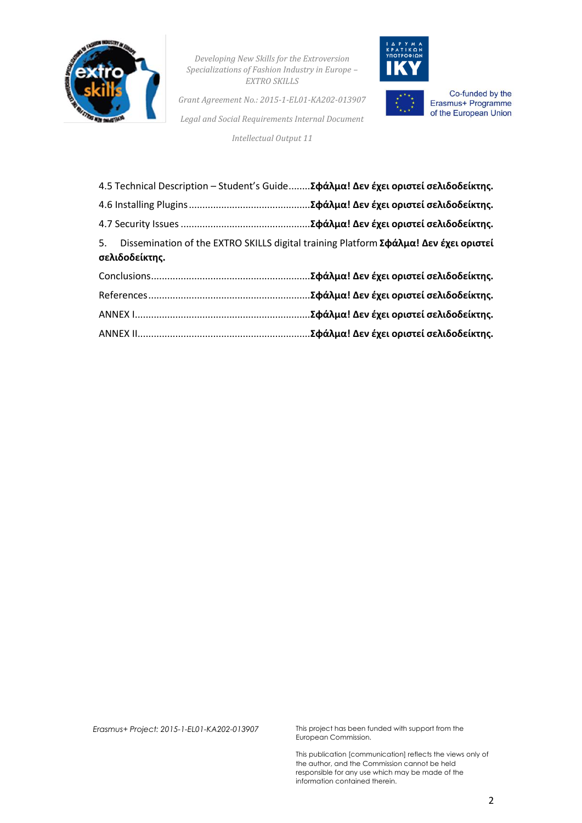

*Grant Agreement No.: 2015-1-EL01-KA202-013907 Legal and Social Requirements Internal Document*

*Intellectual Output 11*



Co-funded by the Erasmus+ Programme of the European Union

|                | 4.5 Technical Description – Student's GuideΣφάλμα! Δεν έχει οριστεί σελιδοδείκτης.      |
|----------------|-----------------------------------------------------------------------------------------|
|                |                                                                                         |
|                |                                                                                         |
| σελιδοδείκτης. | 5. Dissemination of the EXTRO SKILLS digital training Platform Σφάλμα! Δεν έχει οριστεί |
|                | .Σφάλμα! Δεν έχει οριστεί σελιδοδείκτης.                                                |
|                |                                                                                         |
|                | .Σφάλμα! Δεν έχει οριστεί σελιδοδείκτης.                                                |
|                |                                                                                         |

*Erasmus+ Project: 2015-1-EL01-KA202-013907* This project has been funded with support from the European Commission.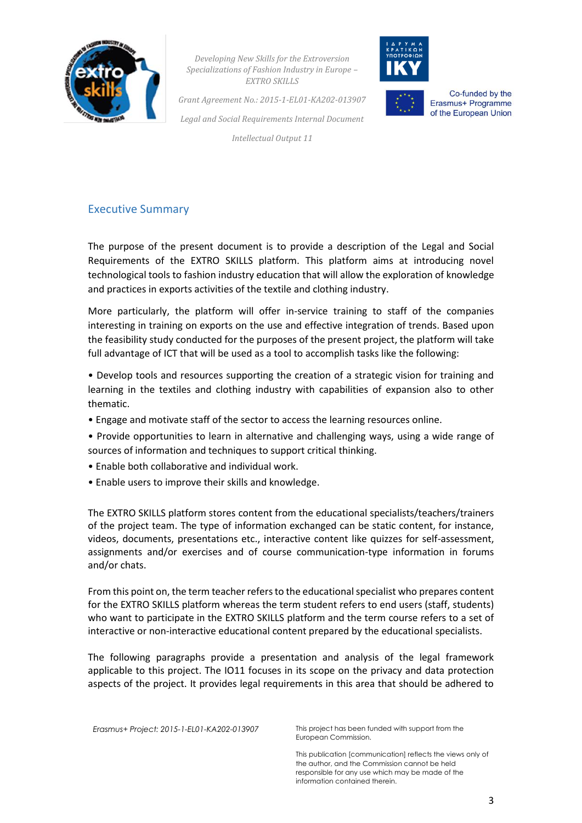



Co-funded by the Erasmus+ Programme of the European Union

*Grant Agreement No.: 2015-1-EL01-KA202-013907 Legal and Social Requirements Internal Document*

*Intellectual Output 11*

# <span id="page-3-0"></span>Executive Summary

<span id="page-3-1"></span>The purpose of the present document is to provide a description of the Legal and Social Requirements of the EXTRO SKILLS platform. This platform aims at introducing novel technological tools to fashion industry education that will allow the exploration of knowledge and practices in exports activities of the textile and clothing industry.

More particularly, the platform will offer in-service training to staff of the companies interesting in training on exports on the use and effective integration of trends. Based upon the feasibility study conducted for the purposes of the present project, the platform will take full advantage of ICT that will be used as a tool to accomplish tasks like the following:

• Develop tools and resources supporting the creation of a strategic vision for training and learning in the textiles and clothing industry with capabilities of expansion also to other thematic.

- Engage and motivate staff of the sector to access the learning resources online.
- Provide opportunities to learn in alternative and challenging ways, using a wide range of sources of information and techniques to support critical thinking.
- Enable both collaborative and individual work.
- Enable users to improve their skills and knowledge.

The EXTRO SKILLS platform stores content from the educational specialists/teachers/trainers of the project team. The type of information exchanged can be static content, for instance, videos, documents, presentations etc., interactive content like quizzes for self-assessment, assignments and/or exercises and of course communication-type information in forums and/or chats.

From this point on, the term teacher refers to the educational specialist who prepares content for the EXTRO SKILLS platform whereas the term student refers to end users (staff, students) who want to participate in the EXTRO SKILLS platform and the term course refers to a set of interactive or non-interactive educational content prepared by the educational specialists.

The following paragraphs provide a presentation and analysis of the legal framework applicable to this project. The IO11 focuses in its scope on the privacy and data protection aspects of the project. It provides legal requirements in this area that should be adhered to

*Erasmus+ Project: 2015-1-EL01-KA202-013907* This project has been funded with support from the

European Commission.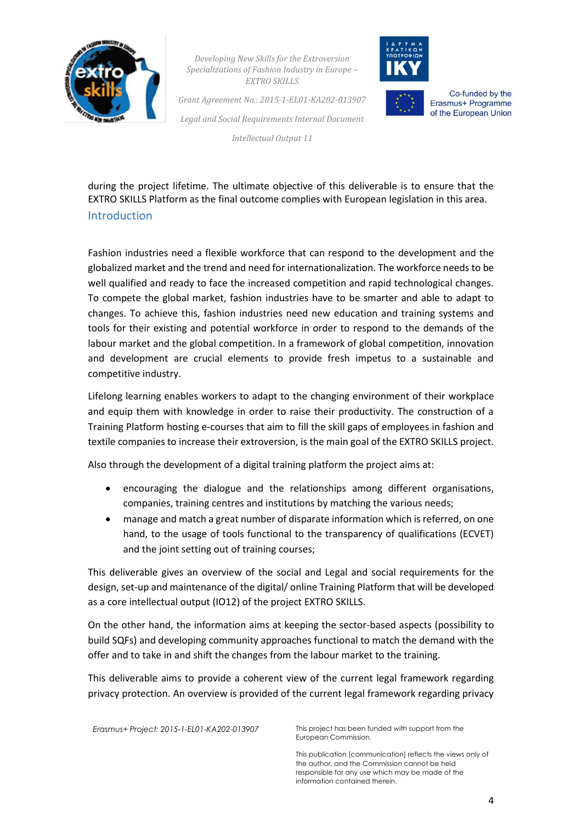

*Grant Agreement No.: 2015-1-EL01-KA202-013907 Legal and Social Requirements Internal Document*



Co-funded by the Erasmus+ Programme of the European Union

*Intellectual Output 11*

during the project lifetime. The ultimate objective of this deliverable is to ensure that the EXTRO SKILLS Platform as the final outcome complies with European legislation in this area. Introduction

Fashion industries need a flexible workforce that can respond to the development and the globalized market and the trend and need for internationalization. The workforce needs to be well qualified and ready to face the increased competition and rapid technological changes. To compete the global market, fashion industries have to be smarter and able to adapt to changes. To achieve this, fashion industries need new education and training systems and tools for their existing and potential workforce in order to respond to the demands of the labour market and the global competition. In a framework of global competition, innovation and development are crucial elements to provide fresh impetus to a sustainable and competitive industry.

Lifelong learning enables workers to adapt to the changing environment of their workplace and equip them with knowledge in order to raise their productivity. The construction of a Training Platform hosting e-courses that aim to fill the skill gaps of employees in fashion and textile companies to increase their extroversion, is the main goal of the EXTRO SKILLS project.

Also through the development of a digital training platform the project aims at:

- encouraging the dialogue and the relationships among different organisations, companies, training centres and institutions by matching the various needs;
- manage and match a great number of disparate information which is referred, on one hand, to the usage of tools functional to the transparency of qualifications (ECVET) and the joint setting out of training courses;

This deliverable gives an overview of the social and Legal and social requirements for the design, set-up and maintenance of the digital/ online Training Platform that will be developed as a core intellectual output (IO12) of the project EXTRO SKILLS.

On the other hand, the information aims at keeping the sector-based aspects (possibility to build SQFs) and developing community approaches functional to match the demand with the offer and to take in and shift the changes from the labour market to the training.

This deliverable aims to provide a coherent view of the current legal framework regarding privacy protection. An overview is provided of the current legal framework regarding privacy

*Erasmus+ Project: 2015-1-EL01-KA202-013907* This project has been funded with support from the

European Commission.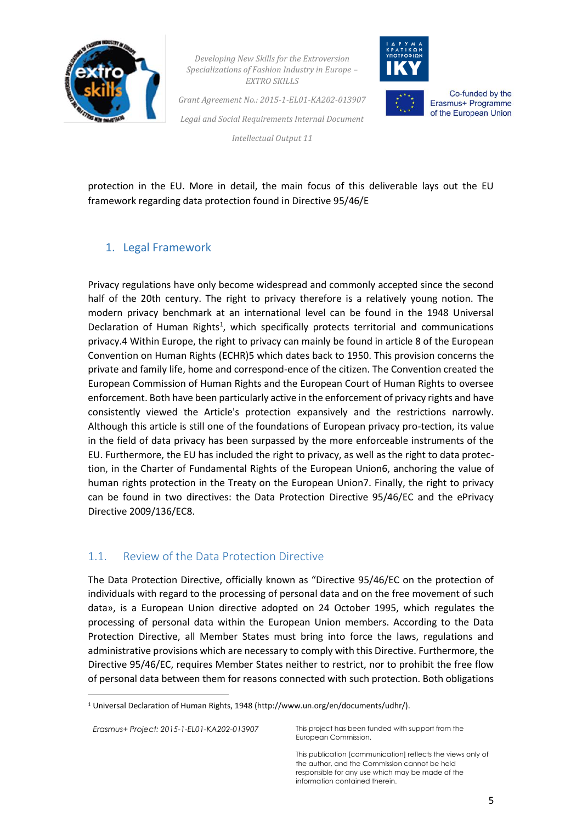



Co-funded by the Erasmus+ Programme of the European Union

*Grant Agreement No.: 2015-1-EL01-KA202-013907 Legal and Social Requirements Internal Document*

*Intellectual Output 11*

protection in the EU. More in detail, the main focus of this deliverable lays out the EU framework regarding data protection found in Directive 95/46/E

# 1. Legal Framework

Privacy regulations have only become widespread and commonly accepted since the second half of the 20th century. The right to privacy therefore is a relatively young notion. The modern privacy benchmark at an international level can be found in the 1948 Universal Declaration of Human Rights<sup>1</sup>, which specifically protects territorial and communications privacy.4 Within Europe, the right to privacy can mainly be found in article 8 of the European Convention on Human Rights (ECHR)5 which dates back to 1950. This provision concerns the private and family life, home and correspond-ence of the citizen. The Convention created the European Commission of Human Rights and the European Court of Human Rights to oversee enforcement. Both have been particularly active in the enforcement of privacy rights and have consistently viewed the Article's protection expansively and the restrictions narrowly. Although this article is still one of the foundations of European privacy pro-tection, its value in the field of data privacy has been surpassed by the more enforceable instruments of the EU. Furthermore, the EU has included the right to privacy, as well as the right to data protection, in the Charter of Fundamental Rights of the European Union6, anchoring the value of human rights protection in the Treaty on the European Union7. Finally, the right to privacy can be found in two directives: the Data Protection Directive 95/46/EC and the ePrivacy Directive 2009/136/EC8.

# 1.1. Review of the Data Protection Directive

The Data Protection Directive, officially known as "Directive 95/46/EC on the protection of individuals with regard to the processing of personal data and on the free movement of such data», is a European Union directive adopted on 24 October 1995, which regulates the processing of personal data within the European Union members. According to the Data Protection Directive, all Member States must bring into force the laws, regulations and administrative provisions which are necessary to comply with this Directive. Furthermore, the Directive 95/46/EC, requires Member States neither to restrict, nor to prohibit the free flow of personal data between them for reasons connected with such protection. Both obligations

*Erasmus+ Project: 2015-1-EL01-KA202-013907* This project has been funded with support from the

1

European Commission.

<sup>1</sup> Universal Declaration of Human Rights, 1948 (http://www.un.org/en/documents/udhr/).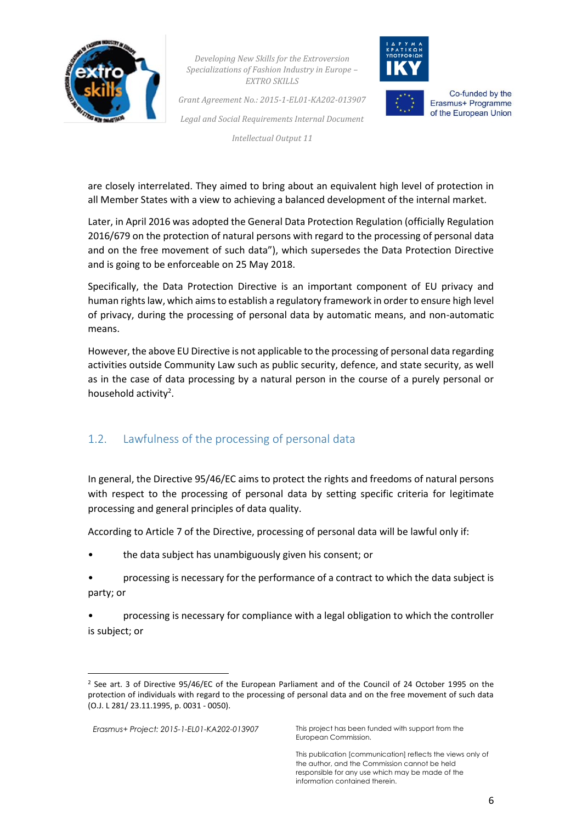

*Grant Agreement No.: 2015-1-EL01-KA202-013907 Legal and Social Requirements Internal Document*

*Intellectual Output 11*



Co-funded by the Erasmus+ Programme of the European Union

are closely interrelated. They aimed to bring about an equivalent high level of protection in all Member States with a view to achieving a balanced development of the internal market.

Later, in April 2016 was adopted the General Data Protection Regulation (officially Regulation 2016/679 on the protection of natural persons with regard to the processing of personal data and on the free movement of such data"), which supersedes the Data Protection Directive and is going to be enforceable on 25 May 2018.

Specifically, the Data Protection Directive is an important component of EU privacy and human rights law, which aims to establish a regulatory framework in order to ensure high level of privacy, during the processing of personal data by automatic means, and non-automatic means.

However, the above EU Directive is not applicable to the processing of personal data regarding activities outside Community Law such as public security, defence, and state security, as well as in the case of data processing by a natural person in the course of a purely personal or household activity<sup>2</sup>.

# 1.2. Lawfulness of the processing of personal data

In general, the Directive 95/46/EC aims to protect the rights and freedoms of natural persons with respect to the processing of personal data by setting specific criteria for legitimate processing and general principles of data quality.

According to Article 7 of the Directive, processing of personal data will be lawful only if:

- the data subject has unambiguously given his consent; or
- processing is necessary for the performance of a contract to which the data subject is party; or

• processing is necessary for compliance with a legal obligation to which the controller is subject; or

**.** 

<sup>2</sup> See art. 3 of Directive 95/46/EC of the European Parliament and of the Council of 24 October 1995 on the protection of individuals with regard to the processing of personal data and on the free movement of such data (O.J. L 281/ 23.11.1995, p. 0031 - 0050).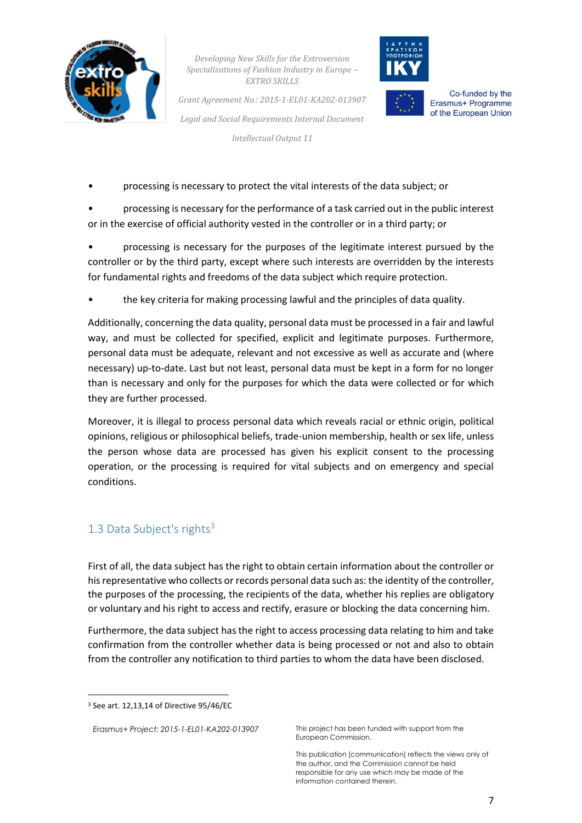

*Grant Agreement No.: 2015-1-EL01-KA202-013907 Legal and Social Requirements Internal Document*

*Intellectual Output 11*



Co-funded by the Erasmus+ Programme of the European Union

• processing is necessary to protect the vital interests of the data subject; or

• processing is necessary for the performance of a task carried out in the public interest or in the exercise of official authority vested in the controller or in a third party; or

• processing is necessary for the purposes of the legitimate interest pursued by the controller or by the third party, except where such interests are overridden by the interests for fundamental rights and freedoms of the data subject which require protection.

• the key criteria for making processing lawful and the principles of data quality.

Additionally, concerning the data quality, personal data must be processed in a fair and lawful way, and must be collected for specified, explicit and legitimate purposes. Furthermore, personal data must be adequate, relevant and not excessive as well as accurate and (where necessary) up-to-date. Last but not least, personal data must be kept in a form for no longer than is necessary and only for the purposes for which the data were collected or for which they are further processed.

Moreover, it is illegal to process personal data which reveals racial or ethnic origin, political opinions, religious or philosophical beliefs, trade-union membership, health or sex life, unless the person whose data are processed has given his explicit consent to the processing operation, or the processing is required for vital subjects and on emergency and special conditions.

# 1.3 Data Subject's rights<sup>3</sup>

First of all, the data subject has the right to obtain certain information about the controller or his representative who collects or records personal data such as: the identity of the controller, the purposes of the processing, the recipients of the data, whether his replies are obligatory or voluntary and his right to access and rectify, erasure or blocking the data concerning him.

Furthermore, the data subject has the right to access processing data relating to him and take confirmation from the controller whether data is being processed or not and also to obtain from the controller any notification to third parties to whom the data have been disclosed.

1

*Erasmus+ Project: 2015-1-EL01-KA202-013907* This project has been funded with support from the European Commission.

<sup>3</sup> See art. 12,13,14 of Directive 95/46/EC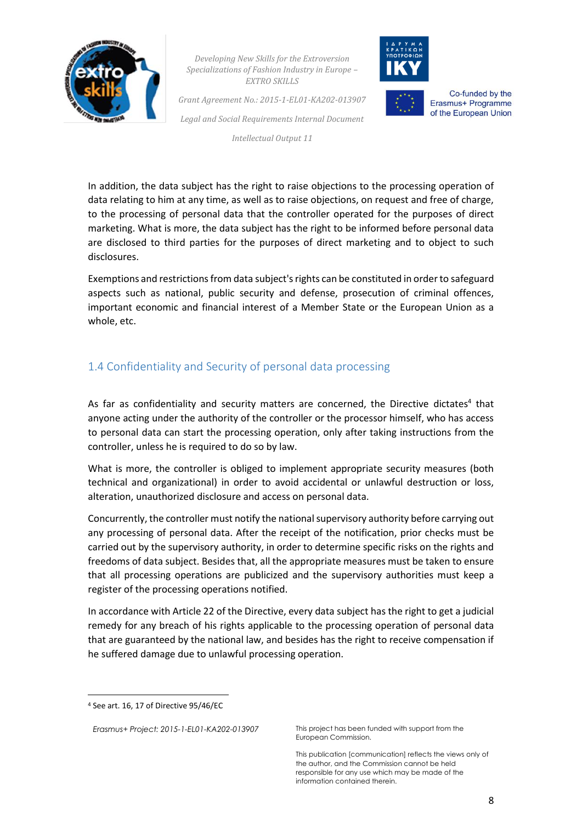

*Grant Agreement No.: 2015-1-EL01-KA202-013907 Legal and Social Requirements Internal Document*

*Intellectual Output 11*



Co-funded by the Erasmus+ Programme of the European Union

In addition, the data subject has the right to raise objections to the processing operation of data relating to him at any time, as well as to raise objections, on request and free of charge, to the processing of personal data that the controller operated for the purposes of direct marketing. What is more, the data subject has the right to be informed before personal data are disclosed to third parties for the purposes of direct marketing and to object to such disclosures.

Exemptions and restrictions from data subject's rights can be constituted in order to safeguard aspects such as national, public security and defense, prosecution of criminal offences, important economic and financial interest of a Member State or the European Union as a whole, etc.

# 1.4 Confidentiality and Security of personal data processing

As far as confidentiality and security matters are concerned, the Directive dictates<sup>4</sup> that anyone acting under the authority of the controller or the processor himself, who has access to personal data can start the processing operation, only after taking instructions from the controller, unless he is required to do so by law.

What is more, the controller is obliged to implement appropriate security measures (both technical and organizational) in order to avoid accidental or unlawful destruction or loss, alteration, unauthorized disclosure and access on personal data.

Concurrently, the controller must notify the national supervisory authority before carrying out any processing of personal data. After the receipt of the notification, prior checks must be carried out by the supervisory authority, in order to determine specific risks on the rights and freedoms of data subject. Besides that, all the appropriate measures must be taken to ensure that all processing operations are publicized and the supervisory authorities must keep a register of the processing operations notified.

In accordance with Article 22 of the Directive, every data subject has the right to get a judicial remedy for any breach of his rights applicable to the processing operation of personal data that are guaranteed by the national law, and besides has the right to receive compensation if he suffered damage due to unlawful processing operation.

1

*Erasmus+ Project: 2015-1-EL01-KA202-013907* This project has been funded with support from the European Commission.

<sup>4</sup> See art. 16, 17 of Directive 95/46/EC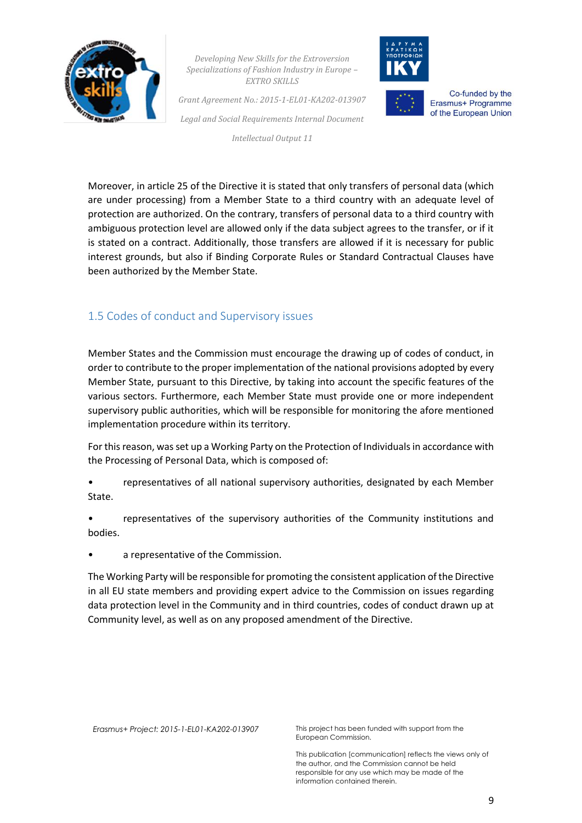

*Grant Agreement No.: 2015-1-EL01-KA202-013907 Legal and Social Requirements Internal Document*

*Intellectual Output 11*



Co-funded by the Erasmus+ Programme of the European Union

Moreover, in article 25 of the Directive it is stated that only transfers of personal data (which are under processing) from a Member State to a third country with an adequate level of protection are authorized. On the contrary, transfers of personal data to a third country with ambiguous protection level are allowed only if the data subject agrees to the transfer, or if it is stated on a contract. Additionally, those transfers are allowed if it is necessary for public interest grounds, but also if Binding Corporate Rules or Standard Contractual Clauses have been authorized by the Member State.

# 1.5 Codes of conduct and Supervisory issues

Member States and the Commission must encourage the drawing up of codes of conduct, in order to contribute to the proper implementation of the national provisions adopted by every Member State, pursuant to this Directive, by taking into account the specific features of the various sectors. Furthermore, each Member State must provide one or more independent supervisory public authorities, which will be responsible for monitoring the afore mentioned implementation procedure within its territory.

For this reason, was set up a Working Party on the Protection of Individuals in accordance with the Processing of Personal Data, which is composed of:

- representatives of all national supervisory authorities, designated by each Member State.
- representatives of the supervisory authorities of the Community institutions and bodies.
- a representative of the Commission.

The Working Party will be responsible for promoting the consistent application of the Directive in all EU state members and providing expert advice to the Commission on issues regarding data protection level in the Community and in third countries, codes of conduct drawn up at Community level, as well as on any proposed amendment of the Directive.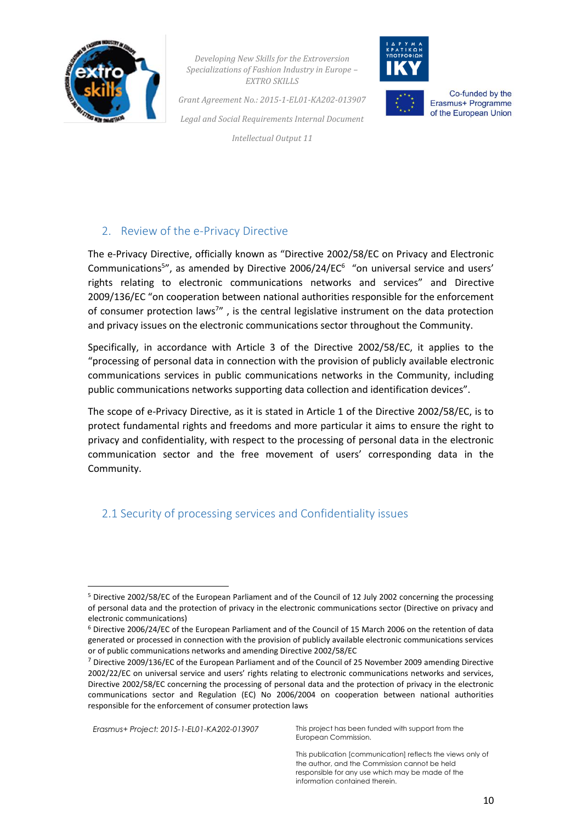



Co-funded by the Erasmus+ Programme of the European Union

*Grant Agreement No.: 2015-1-EL01-KA202-013907 Legal and Social Requirements Internal Document*

*Intellectual Output 11*

# <span id="page-10-0"></span>2. Review of the e-Privacy Directive

The e-Privacy Directive, officially known as "Directive 2002/58/EC on Privacy and Electronic Communications<sup>5</sup>", as amended by Directive 2006/24/EC<sup>6</sup> "on universal service and users' rights relating to electronic communications networks and services" and Directive 2009/136/EC "on cooperation between national authorities responsible for the enforcement of consumer protection laws<sup>7</sup>", is the central legislative instrument on the data protection and privacy issues on the electronic communications sector throughout the Community.

Specifically, in accordance with Article 3 of the Directive 2002/58/EC, it applies to the "processing of personal data in connection with the provision of publicly available electronic communications services in public communications networks in the Community, including public communications networks supporting data collection and identification devices".

The scope of e-Privacy Directive, as it is stated in Article 1 of the Directive 2002/58/EC, is to protect fundamental rights and freedoms and more particular it aims to ensure the right to privacy and confidentiality, with respect to the processing of personal data in the electronic communication sector and the free movement of users' corresponding data in the Community.

# 2.1 Security of processing services and Confidentiality issues

**.** 

*Erasmus+ Project: 2015-1-EL01-KA202-013907* This project has been funded with support from the European Commission.

<sup>5</sup> Directive 2002/58/EC of the European Parliament and of the Council of 12 July 2002 concerning the processing of personal data and the protection of privacy in the electronic communications sector (Directive on privacy and electronic communications)

<sup>6</sup> Directive 2006/24/EC of the European Parliament and of the Council of 15 March 2006 on the retention of data generated or processed in connection with the provision of publicly available electronic communications services or of public communications networks and amending Directive 2002/58/EC

<sup>7</sup> Directive 2009/136/EC of the European Parliament and of the Council of 25 November 2009 amending Directive 2002/22/EC on universal service and users' rights relating to electronic communications networks and services, Directive 2002/58/EC concerning the processing of personal data and the protection of privacy in the electronic communications sector and Regulation (EC) No 2006/2004 on cooperation between national authorities responsible for the enforcement of consumer protection laws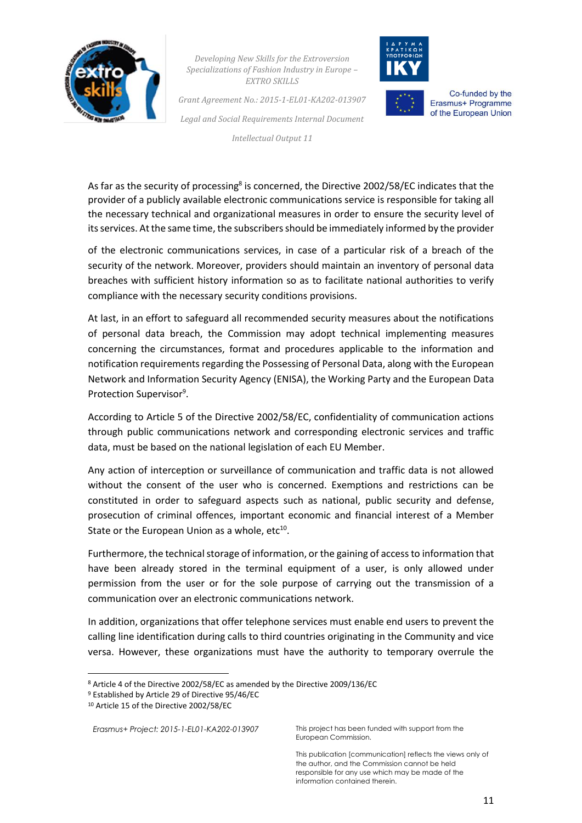

*Grant Agreement No.: 2015-1-EL01-KA202-013907 Legal and Social Requirements Internal Document*

*Intellectual Output 11*



Co-funded by the Erasmus+ Programme of the European Union

As far as the security of processing<sup>8</sup> is concerned, the Directive 2002/58/EC indicates that the provider of a publicly available electronic communications service is responsible for taking all the necessary technical and organizational measures in order to ensure the security level of its services. At the same time, the subscribers should be immediately informed by the provider

of the electronic communications services, in case of a particular risk of a breach of the security of the network. Moreover, providers should maintain an inventory of personal data breaches with sufficient history information so as to facilitate national authorities to verify compliance with the necessary security conditions provisions.

At last, in an effort to safeguard all recommended security measures about the notifications of personal data breach, the Commission may adopt technical implementing measures concerning the circumstances, format and procedures applicable to the information and notification requirements regarding the Possessing of Personal Data, along with the European Network and Information Security Agency (ENISA), the Working Party and the European Data Protection Supervisor<sup>9</sup>.

According to Article 5 of the Directive 2002/58/EC, confidentiality of communication actions through public communications network and corresponding electronic services and traffic data, must be based on the national legislation of each EU Member.

Any action of interception or surveillance of communication and traffic data is not allowed without the consent of the user who is concerned. Exemptions and restrictions can be constituted in order to safeguard aspects such as national, public security and defense, prosecution of criminal offences, important economic and financial interest of a Member State or the European Union as a whole, etc<sup>10</sup>.

Furthermore, the technical storage of information, or the gaining of access to information that have been already stored in the terminal equipment of a user, is only allowed under permission from the user or for the sole purpose of carrying out the transmission of a communication over an electronic communications network.

In addition, organizations that offer telephone services must enable end users to prevent the calling line identification during calls to third countries originating in the Community and vice versa. However, these organizations must have the authority to temporary overrule the

**.** 

*Erasmus+ Project: 2015-1-EL01-KA202-013907* This project has been funded with support from the European Commission.

<sup>8</sup> Article 4 of the Directive 2002/58/EC as amended by the Directive 2009/136/EC

<sup>9</sup> Established by Article 29 of Directive 95/46/EC

<sup>10</sup> Article 15 of the Directive 2002/58/EC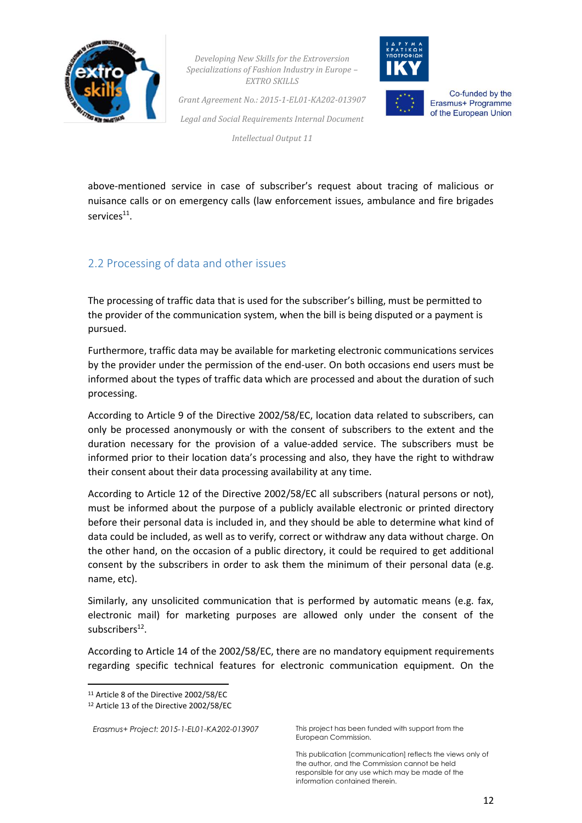



Co-funded by the Erasmus+ Programme of the European Union

*Grant Agreement No.: 2015-1-EL01-KA202-013907 Legal and Social Requirements Internal Document*

*Intellectual Output 11*

above-mentioned service in case of subscriber's request about tracing of malicious or nuisance calls or on emergency calls (law enforcement issues, ambulance and fire brigades services<sup>11</sup>.

# <span id="page-12-0"></span>2.2 Processing of data and other issues

The processing of traffic data that is used for the subscriber's billing, must be permitted to the provider of the communication system, when the bill is being disputed or a payment is pursued.

Furthermore, traffic data may be available for marketing electronic communications services by the provider under the permission of the end-user. On both occasions end users must be informed about the types of traffic data which are processed and about the duration of such processing.

According to Article 9 of the Directive 2002/58/EC, location data related to subscribers, can only be processed anonymously or with the consent of subscribers to the extent and the duration necessary for the provision of a value-added service. The subscribers must be informed prior to their location data's processing and also, they have the right to withdraw their consent about their data processing availability at any time.

According to Article 12 of the Directive 2002/58/EC all subscribers (natural persons or not), must be informed about the purpose of a publicly available electronic or printed directory before their personal data is included in, and they should be able to determine what kind of data could be included, as well as to verify, correct or withdraw any data without charge. On the other hand, on the occasion of a public directory, it could be required to get additional consent by the subscribers in order to ask them the minimum of their personal data (e.g. name, etc).

Similarly, any unsolicited communication that is performed by automatic means (e.g. fax, electronic mail) for marketing purposes are allowed only under the consent of the subscribers<sup>12</sup>.

According to Article 14 of the 2002/58/EC, there are no mandatory equipment requirements regarding specific technical features for electronic communication equipment. On the

1

```
Erasmus+ Project: 2015-1-EL01-KA202-013907 This project has been funded with support from the
```
European Commission.

<sup>11</sup> Article 8 of the Directive 2002/58/EC

<sup>12</sup> Article 13 of the Directive 2002/58/EC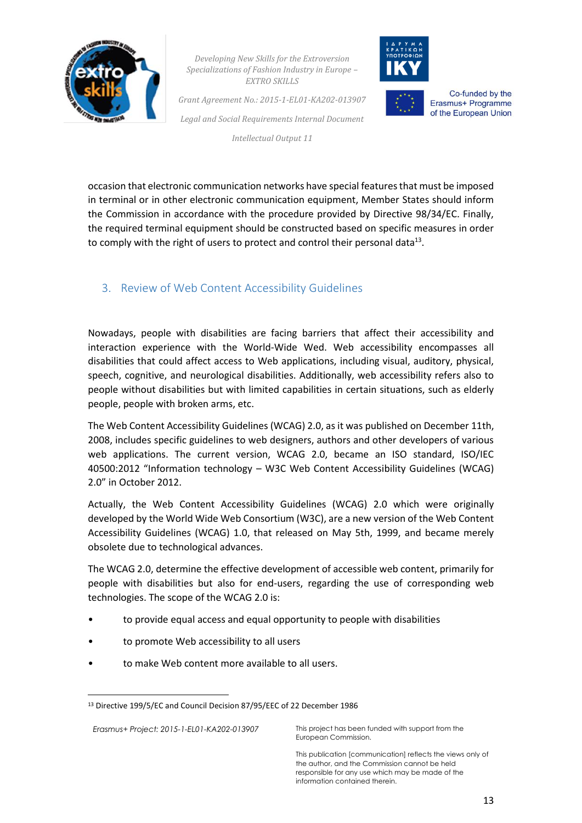

*Grant Agreement No.: 2015-1-EL01-KA202-013907 Legal and Social Requirements Internal Document*

*Intellectual Output 11*



Co-funded by the Erasmus+ Programme of the European Union

occasion that electronic communication networks have special features that must be imposed in terminal or in other electronic communication equipment, Member States should inform the Commission in accordance with the procedure provided by Directive 98/34/EC. Finally, the required terminal equipment should be constructed based on specific measures in order to comply with the right of users to protect and control their personal data<sup>13</sup>.

#### 3. Review of Web Content Accessibility Guidelines

Nowadays, people with disabilities are facing barriers that affect their accessibility and interaction experience with the World-Wide Wed. Web accessibility encompasses all disabilities that could affect access to Web applications, including visual, auditory, physical, speech, cognitive, and neurological disabilities. Additionally, web accessibility refers also to people without disabilities but with limited capabilities in certain situations, such as elderly people, people with broken arms, etc.

The Web Content Accessibility Guidelines (WCAG) 2.0, as it was published on December 11th, 2008, includes specific guidelines to web designers, authors and other developers of various web applications. The current version, WCAG 2.0, became an ISO standard, ISO/IEC 40500:2012 "Information technology – W3C Web Content Accessibility Guidelines (WCAG) 2.0" in October 2012.

Actually, the Web Content Accessibility Guidelines (WCAG) 2.0 which were originally developed by the World Wide Web Consortium (W3C), are a new version of the Web Content Accessibility Guidelines (WCAG) 1.0, that released on May 5th, 1999, and became merely obsolete due to technological advances.

The WCAG 2.0, determine the effective development of accessible web content, primarily for people with disabilities but also for end-users, regarding the use of corresponding web technologies. The scope of the WCAG 2.0 is:

- to provide equal access and equal opportunity to people with disabilities
- to promote Web accessibility to all users
- to make Web content more available to all users.

*Erasmus+ Project: 2015-1-EL01-KA202-013907* This project has been funded with support from the

1

European Commission.

<sup>13</sup> Directive 199/5/EC and Council Decision 87/95/EEC of 22 December 1986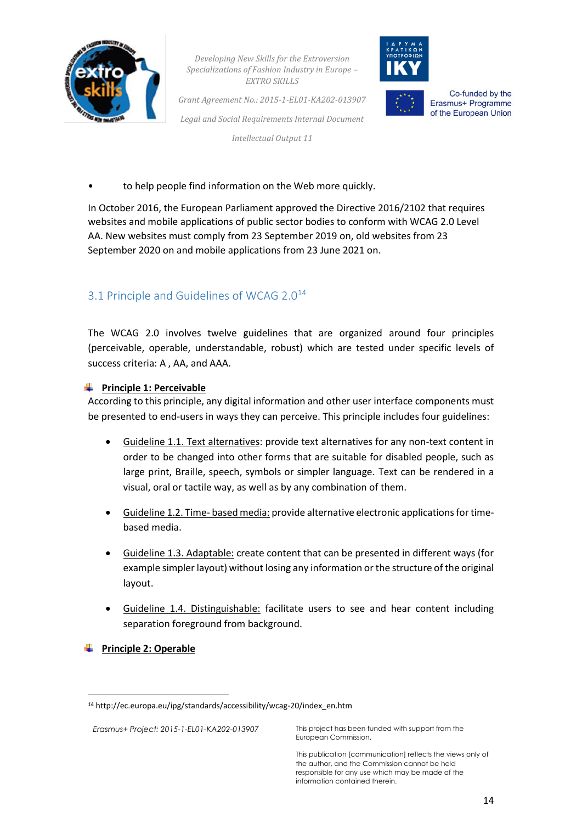

*Grant Agreement No.: 2015-1-EL01-KA202-013907 Legal and Social Requirements Internal Document Intellectual Output 11*



Co-funded by the

Erasmus+ Programme of the European Union

to help people find information on the Web more quickly.

In October 2016, the European Parliament approved the Directive 2016/2102 that requires websites and mobile applications of public sector bodies to conform with WCAG 2.0 Level AA. New websites must comply from 23 September 2019 on, old websites from 23 September 2020 on and mobile applications from 23 June 2021 on.

# <span id="page-14-0"></span>3.1 Principle and Guidelines of WCAG 2.0<sup>14</sup>

The WCAG 2.0 involves twelve guidelines that are organized around four principles (perceivable, operable, understandable, robust) which are tested under specific levels of success criteria: A , AA, and AAA.

#### **Principle 1: Perceivable**

According to this principle, any digital information and other user interface components must be presented to end-users in ways they can perceive. This principle includes four guidelines:

- Guideline 1.1. Text alternatives: provide text alternatives for any non-text content in order to be changed into other forms that are suitable for disabled people, such as large print, Braille, speech, symbols or simpler language. Text can be rendered in a visual, oral or tactile way, as well as by any combination of them.
- Guideline 1.2. Time- based media: provide alternative electronic applications for timebased media.
- Guideline 1.3. Adaptable: create content that can be presented in different ways (for example simpler layout) without losing any information or the structure of the original layout.
- Guideline 1.4. Distinguishable: facilitate users to see and hear content including separation foreground from background.
- **Frinciple 2: Operable**

1

*Erasmus+ Project: 2015-1-EL01-KA202-013907* This project has been funded with support from the European Commission.

<sup>14</sup> http://ec.europa.eu/ipg/standards/accessibility/wcag-20/index\_en.htm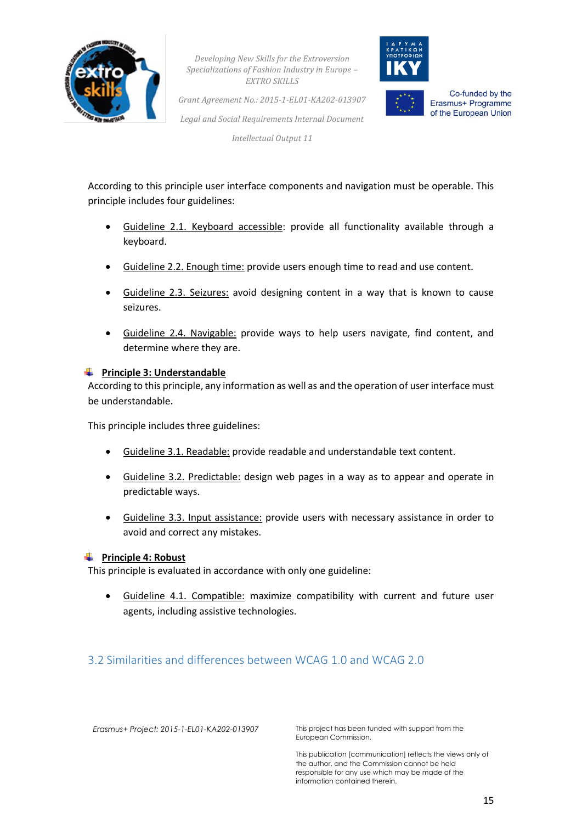



Co-funded by the Erasmus+ Programme of the European Union

*Grant Agreement No.: 2015-1-EL01-KA202-013907 Legal and Social Requirements Internal Document*

*Intellectual Output 11*

According to this principle user interface components and navigation must be operable. This principle includes four guidelines:

- Guideline 2.1. Keyboard accessible: provide all functionality available through a keyboard.
- Guideline 2.2. Enough time: provide users enough time to read and use content.
- Guideline 2.3. Seizures: avoid designing content in a way that is known to cause seizures.
- Guideline 2.4. Navigable: provide ways to help users navigate, find content, and determine where they are.

#### **Principle 3: Understandable**

According to this principle, any information as well as and the operation of user interface must be understandable.

This principle includes three guidelines:

- Guideline 3.1. Readable: provide readable and understandable text content.
- Guideline 3.2. Predictable: design web pages in a way as to appear and operate in predictable ways.
- Guideline 3.3. Input assistance: provide users with necessary assistance in order to avoid and correct any mistakes.

#### **Frinciple 4: Robust**

This principle is evaluated in accordance with only one guideline:

• Guideline 4.1. Compatible: maximize compatibility with current and future user agents, including assistive technologies.

#### <span id="page-15-0"></span>3.2 Similarities and differences between WCAG 1.0 and WCAG 2.0

*Erasmus+ Project: 2015-1-EL01-KA202-013907* This project has been funded with support from the European Commission.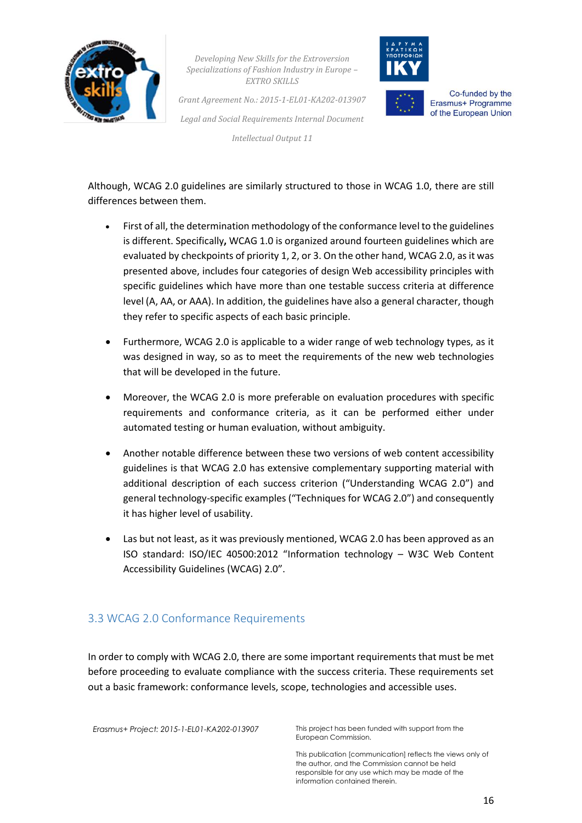

*Grant Agreement No.: 2015-1-EL01-KA202-013907 Legal and Social Requirements Internal Document*

*Intellectual Output 11*



Co-funded by the Erasmus+ Programme of the European Union

Although, WCAG 2.0 guidelines are similarly structured to those in WCAG 1.0, there are still differences between them.

- First of all, the determination methodology of the conformance level to the guidelines is different. Specifically**,** WCAG 1.0 is organized around fourteen guidelines which are evaluated by checkpoints of priority 1, 2, or 3. On the other hand, WCAG 2.0, as it was presented above, includes four categories of design Web accessibility principles with specific guidelines which have more than one testable success criteria at difference level (A, AA, or AAA). In addition, the guidelines have also a general character, though they refer to specific aspects of each basic principle.
- Furthermore, WCAG 2.0 is applicable to a wider range of web technology types, as it was designed in way, so as to meet the requirements of the new web technologies that will be developed in the future.
- Moreover, the WCAG 2.0 is more preferable on evaluation procedures with specific requirements and conformance criteria, as it can be performed either under automated testing or human evaluation, without ambiguity.
- Another notable difference between these two versions of web content accessibility guidelines is that WCAG 2.0 has extensive complementary supporting material with additional description of each success criterion ("Understanding WCAG 2.0") and general technology-specific examples ("Techniques for WCAG 2.0") and consequently it has higher level of usability.
- Las but not least, as it was previously mentioned, WCAG 2.0 has been approved as an ISO standard: ISO/IEC 40500:2012 "Information technology – W3C Web Content Accessibility Guidelines (WCAG) 2.0".

# <span id="page-16-0"></span>3.3 WCAG 2.0 Conformance Requirements

In order to comply with WCAG 2.0, there are some important requirements that must be met before proceeding to evaluate compliance with the success criteria. These requirements set out a basic framework: conformance levels, scope, technologies and accessible uses.

*Erasmus+ Project: 2015-1-EL01-KA202-013907* This project has been funded with support from the European Commission.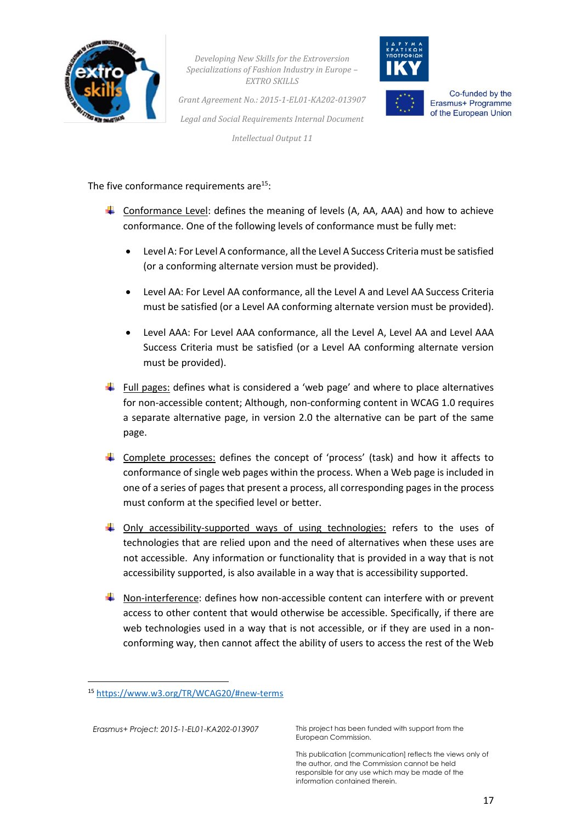



*Grant Agreement No.: 2015-1-EL01-KA202-013907 Legal and Social Requirements Internal Document*

*Intellectual Output 11*

Co-funded by the Erasmus+ Programme of the European Union

The five conformance requirements are $15$ :

- Conformance Level: defines the meaning of levels  $(A, AA, AAA)$  and how to achieve conformance. One of the following levels of conformance must be fully met:
	- Level A: For Level A conformance, all the Level A Success Criteria must be satisfied (or a conforming alternate version must be provided).
	- Level AA: For Level AA conformance, all the Level A and Level AA Success Criteria must be satisfied (or a Level AA conforming alternate version must be provided).
	- Level AAA: For Level AAA conformance, all the Level A, Level AA and Level AAA Success Criteria must be satisfied (or a Level AA conforming alternate version must be provided).
- Full pages: defines what is considered a 'web page' and where to place alternatives for non-accessible content; Although, non-conforming content in WCAG 1.0 requires a separate alternative page, in version 2.0 the alternative can be part of the same page.
- Complete processes: defines the concept of 'process' (task) and how it affects to conformance of single web pages within the process. When a Web page is included in one of a series of pages that present a process, all corresponding pages in the process must conform at the specified level or better.
- $\ddot{\phantom{1}}$  Only accessibility-supported ways of using technologies: refers to the uses of technologies that are relied upon and the need of alternatives when these uses are not accessible. Any information or functionality that is provided in a way that is not accessibility supported, is also available in a way that is accessibility supported.
- $\ddot{\bullet}$  Non-interference: defines how non-accessible content can interfere with or prevent access to other content that would otherwise be accessible. Specifically, if there are web technologies used in a way that is not accessible, or if they are used in a nonconforming way, then cannot affect the ability of users to access the rest of the Web

**.** 

*Erasmus+ Project: 2015-1-EL01-KA202-013907* This project has been funded with support from the European Commission.

<sup>15</sup> <https://www.w3.org/TR/WCAG20/#new-terms>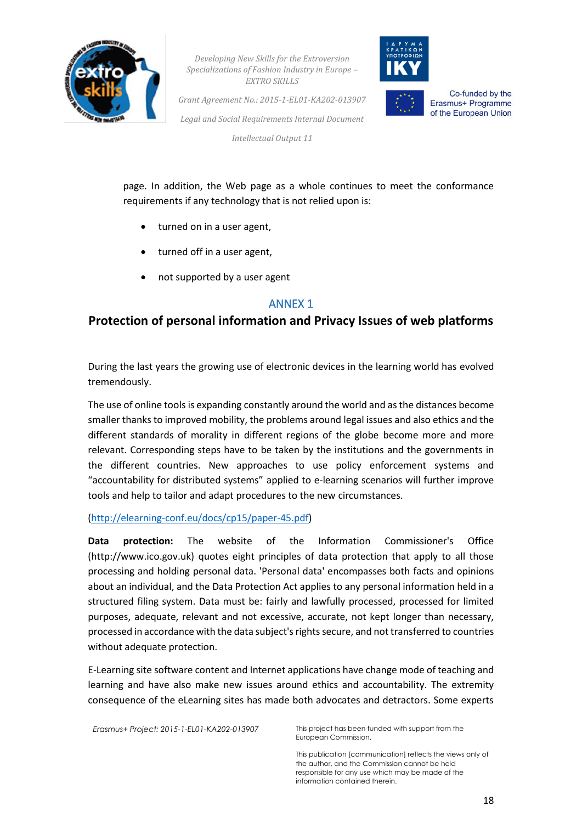



*Grant Agreement No.: 2015-1-EL01-KA202-013907 Legal and Social Requirements Internal Document*

*Intellectual Output 11*



Co-funded by the Erasmus+ Programme of the European Union

page. In addition, the Web page as a whole continues to meet the conformance requirements if any technology that is not relied upon is:

- turned on in a user agent,
- turned off in a user agent,
- not supported by a user agent

#### ANNEX 1

# **Protection of personal information and Privacy Issues of web platforms**

During the last years the growing use of electronic devices in the learning world has evolved tremendously.

The use of online tools is expanding constantly around the world and as the distances become smaller thanks to improved mobility, the problems around legal issues and also ethics and the different standards of morality in different regions of the globe become more and more relevant. Corresponding steps have to be taken by the institutions and the governments in the different countries. New approaches to use policy enforcement systems and "accountability for distributed systems" applied to e-learning scenarios will further improve tools and help to tailor and adapt procedures to the new circumstances.

[\(http://elearning-conf.eu/docs/cp15/paper-45.pdf\)](http://elearning-conf.eu/docs/cp15/paper-45.pdf)

**Data protection:** The website of the Information Commissioner's Office (http://www.ico.gov.uk) quotes eight principles of data protection that apply to all those processing and holding personal data. 'Personal data' encompasses both facts and opinions about an individual, and the Data Protection Act applies to any personal information held in a structured filing system. Data must be: fairly and lawfully processed, processed for limited purposes, adequate, relevant and not excessive, accurate, not kept longer than necessary, processed in accordance with the data subject's rights secure, and not transferred to countries without adequate protection.

E-Learning site software content and Internet applications have change mode of teaching and learning and have also make new issues around ethics and accountability. The extremity consequence of the eLearning sites has made both advocates and detractors. Some experts

*Erasmus+ Project: 2015-1-EL01-KA202-013907* This project has been funded with support from the

European Commission.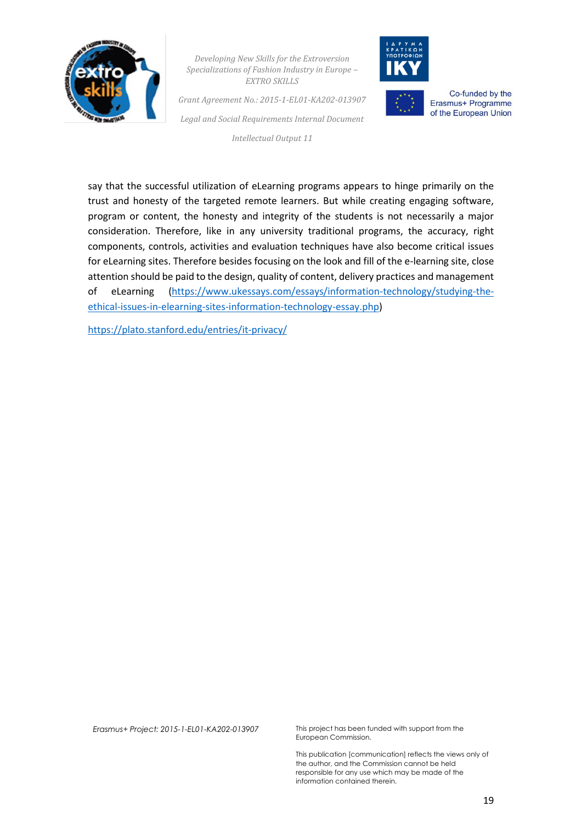

*Grant Agreement No.: 2015-1-EL01-KA202-013907 Legal and Social Requirements Internal Document*

*Intellectual Output 11*



Co-funded by the Erasmus+ Programme of the European Union

say that the successful utilization of eLearning programs appears to hinge primarily on the trust and honesty of the targeted remote learners. But while creating engaging software, program or content, the honesty and integrity of the students is not necessarily a major consideration. Therefore, like in any university traditional programs, the accuracy, right components, controls, activities and evaluation techniques have also become critical issues for eLearning sites. Therefore besides focusing on the look and fill of the e-learning site, close attention should be paid to the design, quality of content, delivery practices and management of eLearning [\(https://www.ukessays.com/essays/information-technology/studying-the](https://www.ukessays.com/essays/information-technology/studying-the-ethical-issues-in-elearning-sites-information-technology-essay.php)[ethical-issues-in-elearning-sites-information-technology-essay.php\)](https://www.ukessays.com/essays/information-technology/studying-the-ethical-issues-in-elearning-sites-information-technology-essay.php)

<https://plato.stanford.edu/entries/it-privacy/>

*Erasmus+ Project: 2015-1-EL01-KA202-013907* This project has been funded with support from the European Commission.